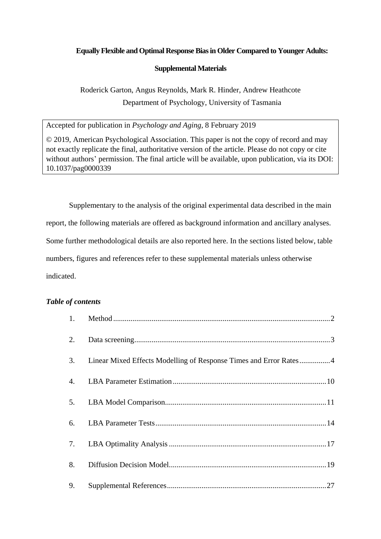# **Equally Flexible and Optimal Response Bias in Older Compared to Younger Adults:**

## **Supplemental Materials**

Roderick Garton, Angus Reynolds, Mark R. Hinder, Andrew Heathcote Department of Psychology, University of Tasmania

Accepted for publication in *Psychology and Aging*, 8 February 2019

© 2019, American Psychological Association. This paper is not the copy of record and may not exactly replicate the final, authoritative version of the article. Please do not copy or cite without authors' permission. The final article will be available, upon publication, via its DOI: 10.1037/pag0000339

Supplementary to the analysis of the original experimental data described in the main report, the following materials are offered as background information and ancillary analyses. Some further methodological details are also reported here. In the sections listed below, table numbers, figures and references refer to these supplemental materials unless otherwise indicated.

# *Table of contents*

| 3. | Linear Mixed Effects Modelling of Response Times and Error Rates4 |  |
|----|-------------------------------------------------------------------|--|
| 4. |                                                                   |  |
|    |                                                                   |  |
| 6. |                                                                   |  |
|    |                                                                   |  |
| 8. |                                                                   |  |
| 9. |                                                                   |  |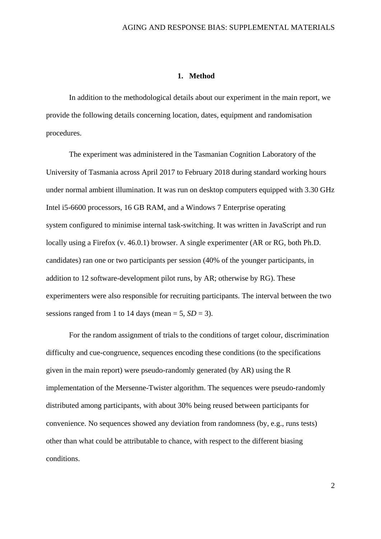### **1. Method**

<span id="page-1-0"></span>In addition to the methodological details about our experiment in the main report, we provide the following details concerning location, dates, equipment and randomisation procedures.

The experiment was administered in the Tasmanian Cognition Laboratory of the University of Tasmania across April 2017 to February 2018 during standard working hours under normal ambient illumination. It was run on desktop computers equipped with 3.30 GHz Intel i5-6600 processors, 16 GB RAM, and a Windows 7 Enterprise operating system configured to minimise internal task-switching. It was written in JavaScript and run locally using a Firefox (v. 46.0.1) browser. A single experimenter (AR or RG, both Ph.D. candidates) ran one or two participants per session (40% of the younger participants, in addition to 12 software-development pilot runs, by AR; otherwise by RG). These experimenters were also responsible for recruiting participants. The interval between the two sessions ranged from 1 to 14 days (mean  $= 5$ ,  $SD = 3$ ).

For the random assignment of trials to the conditions of target colour, discrimination difficulty and cue-congruence, sequences encoding these conditions (to the specifications given in the main report) were pseudo-randomly generated (by AR) using the R implementation of the Mersenne-Twister algorithm. The sequences were pseudo-randomly distributed among participants, with about 30% being reused between participants for convenience. No sequences showed any deviation from randomness (by, e.g., runs tests) other than what could be attributable to chance, with respect to the different biasing conditions.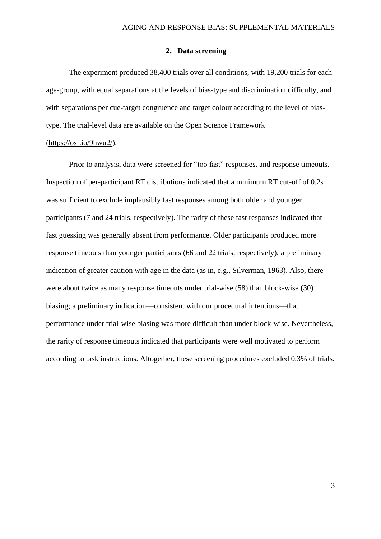### **2. Data screening**

<span id="page-2-0"></span>The experiment produced 38,400 trials over all conditions, with 19,200 trials for each age-group, with equal separations at the levels of bias-type and discrimination difficulty, and with separations per cue-target congruence and target colour according to the level of biastype. The trial-level data are available on the Open Science Framework

### [\(https://osf.io/9hwu2/\)](https://osf.io/9hwu2/).

Prior to analysis, data were screened for "too fast" responses, and response timeouts. Inspection of per-participant RT distributions indicated that a minimum RT cut-off of 0.2s was sufficient to exclude implausibly fast responses among both older and younger participants (7 and 24 trials, respectively). The rarity of these fast responses indicated that fast guessing was generally absent from performance. Older participants produced more response timeouts than younger participants (66 and 22 trials, respectively); a preliminary indication of greater caution with age in the data (as in, e.g., Silverman, 1963). Also, there were about twice as many response timeouts under trial-wise (58) than block-wise (30) biasing; a preliminary indication—consistent with our procedural intentions—that performance under trial-wise biasing was more difficult than under block-wise. Nevertheless, the rarity of response timeouts indicated that participants were well motivated to perform according to task instructions. Altogether, these screening procedures excluded 0.3% of trials.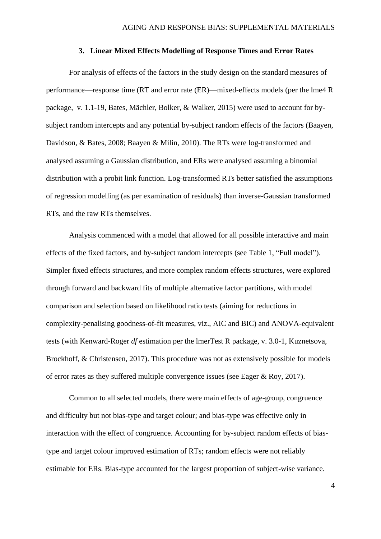### **3. Linear Mixed Effects Modelling of Response Times and Error Rates**

<span id="page-3-0"></span>For analysis of effects of the factors in the study design on the standard measures of performance—response time (RT and error rate (ER)—mixed-effects models (per the lme4 R package, v. 1.1-19, Bates, Mächler, Bolker, & Walker, 2015) were used to account for bysubject random intercepts and any potential by-subject random effects of the factors (Baayen, Davidson, & Bates, 2008; Baayen & Milin, 2010). The RTs were log-transformed and analysed assuming a Gaussian distribution, and ERs were analysed assuming a binomial distribution with a probit link function. Log-transformed RTs better satisfied the assumptions of regression modelling (as per examination of residuals) than inverse-Gaussian transformed RTs, and the raw RTs themselves.

Analysis commenced with a model that allowed for all possible interactive and main effects of the fixed factors, and by-subject random intercepts (see Table 1, "Full model"). Simpler fixed effects structures, and more complex random effects structures, were explored through forward and backward fits of multiple alternative factor partitions, with model comparison and selection based on likelihood ratio tests (aiming for reductions in complexity-penalising goodness-of-fit measures, viz., AIC and BIC) and ANOVA-equivalent tests (with Kenward-Roger *df* estimation per the lmerTest R package, v. 3.0-1, Kuznetsova, Brockhoff, & Christensen, 2017). This procedure was not as extensively possible for models of error rates as they suffered multiple convergence issues (see Eager & Roy, 2017).

Common to all selected models, there were main effects of age-group, congruence and difficulty but not bias-type and target colour; and bias-type was effective only in interaction with the effect of congruence. Accounting for by-subject random effects of biastype and target colour improved estimation of RTs; random effects were not reliably estimable for ERs. Bias-type accounted for the largest proportion of subject-wise variance.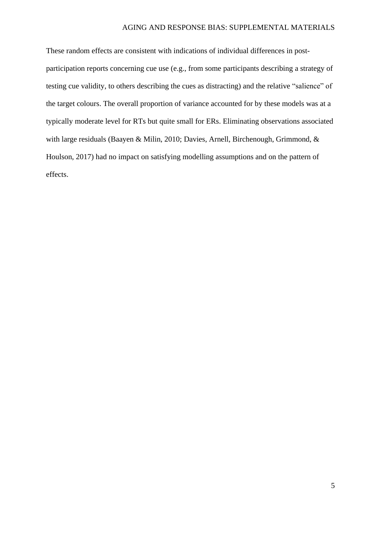These random effects are consistent with indications of individual differences in postparticipation reports concerning cue use (e.g., from some participants describing a strategy of testing cue validity, to others describing the cues as distracting) and the relative "salience" of the target colours. The overall proportion of variance accounted for by these models was at a typically moderate level for RTs but quite small for ERs. Eliminating observations associated with large residuals (Baayen & Milin, 2010; Davies, Arnell, Birchenough, Grimmond, & Houlson, 2017) had no impact on satisfying modelling assumptions and on the pattern of effects.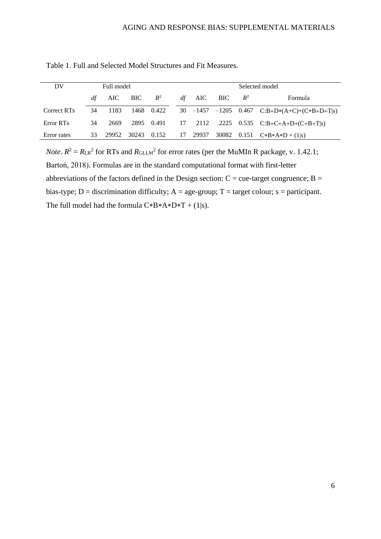| DV          | Full model          |       |       |            |    | Selected model |         |       |         |                                              |
|-------------|---------------------|-------|-------|------------|----|----------------|---------|-------|---------|----------------------------------------------|
|             | AIC BIC $R^2$<br>df |       |       |            | df | AIC BIC        |         | $R^2$ | Formula |                                              |
| Correct RTs | 34                  | 1183  |       | 1468 0.422 |    |                |         |       |         | 30 -1457 -1205 0.467 C:B+D*(A+C)+(C*B+D+T s) |
| Error RTs   | 34                  | 2669  | 2895  | 0.491      |    |                | 17 2112 |       |         | 2225 0.535 $C:B+C+A+D+(C+B+T s)$             |
| Error rates | 33                  | 29952 | 30243 | 0.152      | 17 |                | 29937   |       |         | 30082 0.151 $C*B*A*D+(1 s)$                  |

Table 1. Full and Selected Model Structures and Fit Measures.

*Note*.  $R^2 = R_{LR}^2$  for RTs and  $R_{GLLM}^2$  for error rates (per the MuMIn R package, v. 1.42.1; Bartoń, 2018). Formulas are in the standard computational format with first-letter abbreviations of the factors defined in the Design section:  $C =$  cue-target congruence;  $B =$ bias-type; D = discrimination difficulty;  $A = age$ -group; T = target colour; s = participant. The full model had the formula  $C*B*A*D*T + (1|s)$ .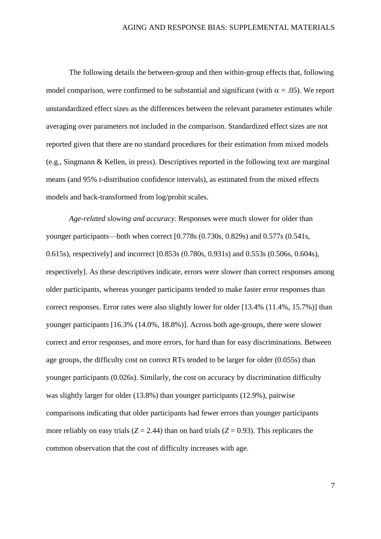The following details the between-group and then within-group effects that, following model comparison, were confirmed to be substantial and significant (with  $\alpha = .05$ ). We report unstandardized effect sizes as the differences between the relevant parameter estimates while averaging over parameters not included in the comparison. Standardized effect sizes are not reported given that there are no standard procedures for their estimation from mixed models (e.g., Singmann & Kellen, in press). Descriptives reported in the following text are marginal means (and 95% *t*-distribution confidence intervals), as estimated from the mixed effects models and back-transformed from log/probit scales.

*Age-related slowing and accuracy*. Responses were much slower for older than younger participants—both when correct [0.778s (0.730s, 0.829s) and 0.577s (0.541s, 0.615s), respectively] and incorrect [0.853s (0.780s, 0.931s) and 0.553s (0.506s, 0.604s), respectively]. As these descriptives indicate, errors were slower than correct responses among older participants, whereas younger participants tended to make faster error responses than correct responses. Error rates were also slightly lower for older [13.4% (11.4%, 15.7%)] than younger participants [16.3% (14.0%, 18.8%)]. Across both age-groups, there were slower correct and error responses, and more errors, for hard than for easy discriminations. Between age groups, the difficulty cost on correct RTs tended to be larger for older (0.055s) than younger participants (0.026s). Similarly, the cost on accuracy by discrimination difficulty was slightly larger for older (13.8%) than younger participants (12.9%), pairwise comparisons indicating that older participants had fewer errors than younger participants more reliably on easy trials  $(Z = 2.44)$  than on hard trials  $(Z = 0.93)$ . This replicates the common observation that the cost of difficulty increases with age.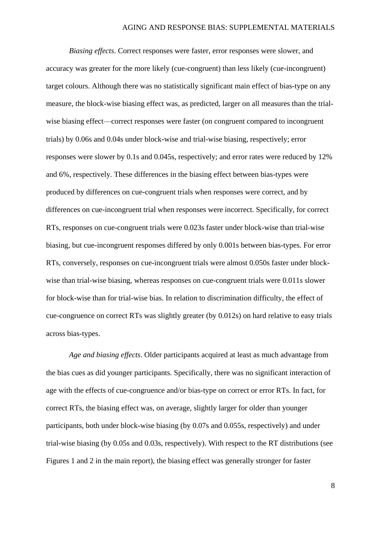*Biasing effects*. Correct responses were faster, error responses were slower, and accuracy was greater for the more likely (cue-congruent) than less likely (cue-incongruent) target colours. Although there was no statistically significant main effect of bias-type on any measure, the block-wise biasing effect was, as predicted, larger on all measures than the trialwise biasing effect—correct responses were faster (on congruent compared to incongruent trials) by 0.06s and 0.04s under block-wise and trial-wise biasing, respectively; error responses were slower by 0.1s and 0.045s, respectively; and error rates were reduced by 12% and 6%, respectively. These differences in the biasing effect between bias-types were produced by differences on cue-congruent trials when responses were correct, and by differences on cue-incongruent trial when responses were incorrect. Specifically, for correct RTs, responses on cue-congruent trials were 0.023s faster under block-wise than trial-wise biasing, but cue-incongruent responses differed by only 0.001s between bias-types. For error RTs, conversely, responses on cue-incongruent trials were almost 0.050s faster under blockwise than trial-wise biasing, whereas responses on cue-congruent trials were 0.011s slower for block-wise than for trial-wise bias. In relation to discrimination difficulty, the effect of cue-congruence on correct RTs was slightly greater (by 0.012s) on hard relative to easy trials across bias-types.

*Age and biasing effects*. Older participants acquired at least as much advantage from the bias cues as did younger participants. Specifically, there was no significant interaction of age with the effects of cue-congruence and/or bias-type on correct or error RTs. In fact, for correct RTs, the biasing effect was, on average, slightly larger for older than younger participants, both under block-wise biasing (by 0.07s and 0.055s, respectively) and under trial-wise biasing (by 0.05s and 0.03s, respectively). With respect to the RT distributions (see Figures 1 and 2 in the main report), the biasing effect was generally stronger for faster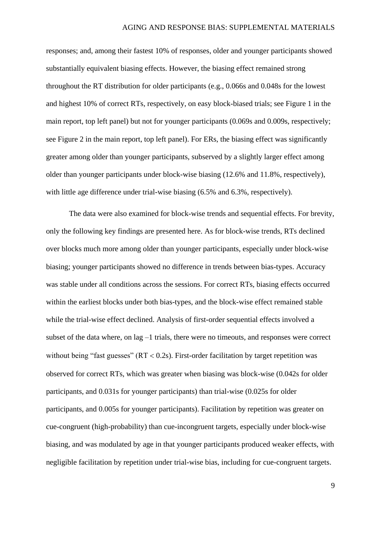responses; and, among their fastest 10% of responses, older and younger participants showed substantially equivalent biasing effects. However, the biasing effect remained strong throughout the RT distribution for older participants (e.g., 0.066s and 0.048s for the lowest and highest 10% of correct RTs, respectively, on easy block-biased trials; see Figure 1 in the main report, top left panel) but not for younger participants (0.069s and 0.009s, respectively; see Figure 2 in the main report, top left panel). For ERs, the biasing effect was significantly greater among older than younger participants, subserved by a slightly larger effect among older than younger participants under block-wise biasing (12.6% and 11.8%, respectively), with little age difference under trial-wise biasing  $(6.5\%$  and  $6.3\%$ , respectively).

The data were also examined for block-wise trends and sequential effects. For brevity, only the following key findings are presented here. As for block-wise trends, RTs declined over blocks much more among older than younger participants, especially under block-wise biasing; younger participants showed no difference in trends between bias-types. Accuracy was stable under all conditions across the sessions. For correct RTs, biasing effects occurred within the earliest blocks under both bias-types, and the block-wise effect remained stable while the trial-wise effect declined. Analysis of first-order sequential effects involved a subset of the data where, on lag –1 trials, there were no timeouts, and responses were correct without being "fast guesses" ( $RT < 0.2$ s). First-order facilitation by target repetition was observed for correct RTs, which was greater when biasing was block-wise (0.042s for older participants, and 0.031s for younger participants) than trial-wise (0.025s for older participants, and 0.005s for younger participants). Facilitation by repetition was greater on cue-congruent (high-probability) than cue-incongruent targets, especially under block-wise biasing, and was modulated by age in that younger participants produced weaker effects, with negligible facilitation by repetition under trial-wise bias, including for cue-congruent targets.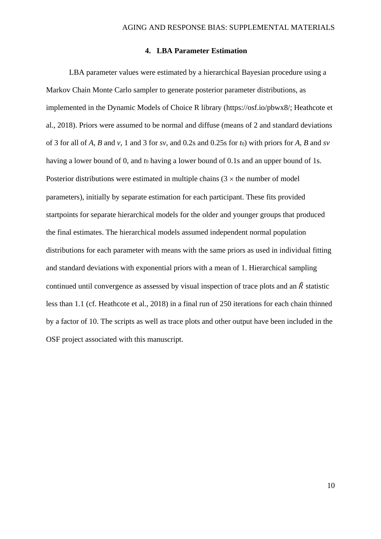## **4. LBA Parameter Estimation**

<span id="page-9-0"></span>LBA parameter values were estimated by a hierarchical Bayesian procedure using a Markov Chain Monte Carlo sampler to generate posterior parameter distributions, as implemented in the Dynamic Models of Choice R library (https://osf.io/pbwx8/; Heathcote et al., 2018). Priors were assumed to be normal and diffuse (means of 2 and standard deviations of 3 for all of *A*, *B* and *v*, 1 and 3 for *sv*, and 0.2s and 0.25s for *t*0) with priors for *A*, *B* and *sv* having a lower bound of 0, and *t*<sub>0</sub> having a lower bound of 0.1s and an upper bound of 1s. Posterior distributions were estimated in multiple chains  $(3 \times$  the number of model parameters), initially by separate estimation for each participant. These fits provided startpoints for separate hierarchical models for the older and younger groups that produced the final estimates. The hierarchical models assumed independent normal population distributions for each parameter with means with the same priors as used in individual fitting and standard deviations with exponential priors with a mean of 1. Hierarchical sampling continued until convergence as assessed by visual inspection of trace plots and an  $\hat{R}$  statistic less than 1.1 (cf. Heathcote et al., 2018) in a final run of 250 iterations for each chain thinned by a factor of 10. The scripts as well as trace plots and other output have been included in the OSF project associated with this manuscript.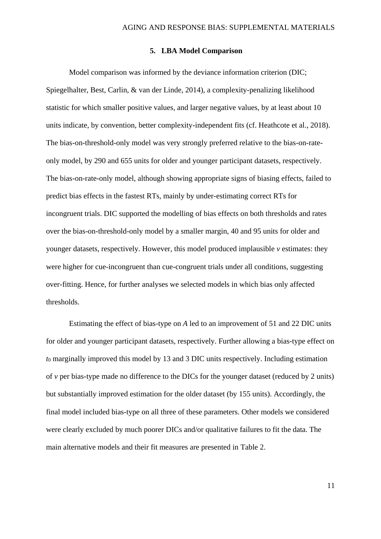### **5. LBA Model Comparison**

<span id="page-10-0"></span>Model comparison was informed by the deviance information criterion (DIC; Spiegelhalter, Best, Carlin, & van der Linde, 2014), a complexity-penalizing likelihood statistic for which smaller positive values, and larger negative values, by at least about 10 units indicate, by convention, better complexity-independent fits (cf. Heathcote et al., 2018). The bias-on-threshold-only model was very strongly preferred relative to the bias-on-rateonly model, by 290 and 655 units for older and younger participant datasets, respectively. The bias-on-rate-only model, although showing appropriate signs of biasing effects, failed to predict bias effects in the fastest RTs, mainly by under-estimating correct RTs for incongruent trials. DIC supported the modelling of bias effects on both thresholds and rates over the bias-on-threshold-only model by a smaller margin, 40 and 95 units for older and younger datasets, respectively. However, this model produced implausible *v* estimates: they were higher for cue-incongruent than cue-congruent trials under all conditions, suggesting over-fitting. Hence, for further analyses we selected models in which bias only affected thresholds.

Estimating the effect of bias-type on *A* led to an improvement of 51 and 22 DIC units for older and younger participant datasets, respectively. Further allowing a bias-type effect on *t*<sup>0</sup> marginally improved this model by 13 and 3 DIC units respectively. Including estimation of *v* per bias-type made no difference to the DICs for the younger dataset (reduced by 2 units) but substantially improved estimation for the older dataset (by 155 units). Accordingly, the final model included bias-type on all three of these parameters. Other models we considered were clearly excluded by much poorer DICs and/or qualitative failures to fit the data. The main alternative models and their fit measures are presented in [Table 2.](#page-12-0)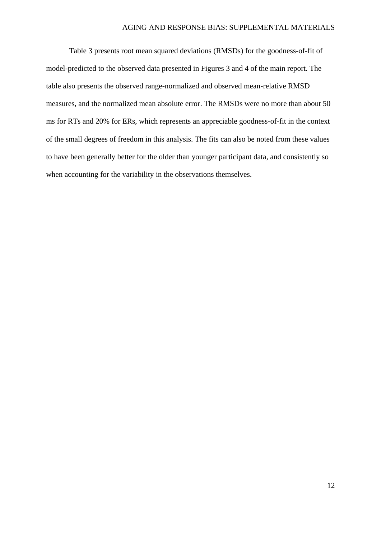[Table 3](#page-12-1) presents root mean squared deviations (RMSDs) for the goodness-of-fit of model-predicted to the observed data presented in Figures 3 and 4 of the main report. The table also presents the observed range-normalized and observed mean-relative RMSD measures, and the normalized mean absolute error. The RMSDs were no more than about 50 ms for RTs and 20% for ERs, which represents an appreciable goodness-of-fit in the context of the small degrees of freedom in this analysis. The fits can also be noted from these values to have been generally better for the older than younger participant data, and consistently so when accounting for the variability in the observations themselves.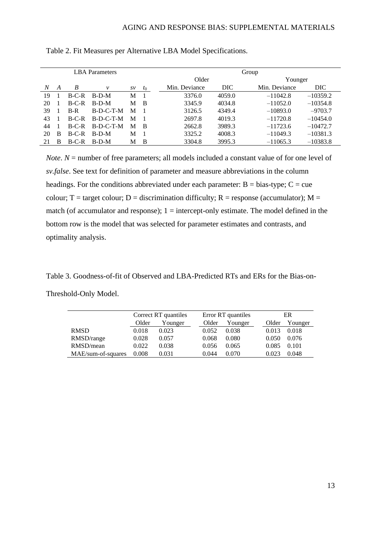|    | <b>LBA</b> Parameters |         |              |                |       |               | Group  |               |            |  |  |
|----|-----------------------|---------|--------------|----------------|-------|---------------|--------|---------------|------------|--|--|
|    |                       |         |              |                |       | Older         |        | Younger       |            |  |  |
| N  | A                     | B       | $\mathcal V$ | $S\mathcal{V}$ | $t_0$ | Min. Deviance | DIC    | Min. Deviance | DIC.       |  |  |
| 19 |                       | $B-C-R$ | $B-D-M$      | М              |       | 3376.0        | 4059.0 | $-11042.8$    | $-10359.2$ |  |  |
| 20 |                       | $B-C-R$ | $B-D-M$      | М              | - B   | 3345.9        | 4034.8 | $-11052.0$    | $-10354.8$ |  |  |
| 39 |                       | $B-R$   | $B-D-C-T-M$  | М              |       | 3126.5        | 4349.4 | $-10893.0$    | $-9703.7$  |  |  |
| 43 |                       | $B-C-R$ | $B-D-C-T-M$  | М              |       | 2697.8        | 4019.3 | $-11720.8$    | $-10454.0$ |  |  |
| 44 |                       | $B-C-R$ | $B-D-C-T-M$  | М              | - B   | 2662.8        | 3989.3 | $-11723.6$    | $-10472.7$ |  |  |
| 20 | B                     | $B-C-R$ | $B-D-M$      | М              |       | 3325.2        | 4008.3 | $-11049.3$    | $-10381.3$ |  |  |
| 21 | B                     | $B-C-R$ | $B-D-M$      | М              | B     | 3304.8        | 3995.3 | $-11065.3$    | $-10383.8$ |  |  |

<span id="page-12-0"></span>Table 2. Fit Measures per Alternative LBA Model Specifications.

*Note*. *N* = number of free parameters; all models included a constant value of for one level of *sv.false*. See text for definition of parameter and measure abbreviations in the column headings. For the conditions abbreviated under each parameter:  $B = bias-type$ ;  $C = cue$ colour; T = target colour; D = discrimination difficulty; R = response (accumulator); M = match (of accumulator and response);  $1 =$  intercept-only estimate. The model defined in the bottom row is the model that was selected for parameter estimates and contrasts, and optimality analysis.

<span id="page-12-1"></span>Table 3. Goodness-of-fit of Observed and LBA-Predicted RTs and ERs for the Bias-on-

Threshold-Only Model.

|                    | Correct RT quantiles |       |       | Error RT quantiles |  |       | ER      |  |  |
|--------------------|----------------------|-------|-------|--------------------|--|-------|---------|--|--|
|                    | Older<br>Younger     |       | Older | Younger            |  | Older | Younger |  |  |
| <b>RMSD</b>        | 0.018                | 0.023 | 0.052 | 0.038              |  | 0.013 | 0.018   |  |  |
| RMSD/range         | 0.028                | 0.057 | 0.068 | 0.080              |  | 0.050 | 0.076   |  |  |
| RMSD/mean          | 0.022                | 0.038 | 0.056 | 0.065              |  | 0.085 | 0.101   |  |  |
| MAE/sum-of-squares | 0.008                | 0.031 | 0.044 | 0.070              |  | 0.023 | 0.048   |  |  |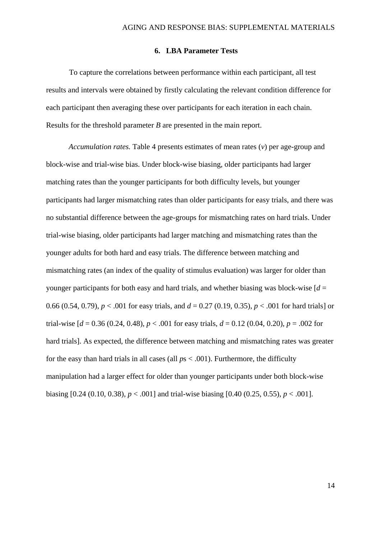### **6. LBA Parameter Tests**

<span id="page-13-0"></span>To capture the correlations between performance within each participant, all test results and intervals were obtained by firstly calculating the relevant condition difference for each participant then averaging these over participants for each iteration in each chain. Results for the threshold parameter *B* are presented in the main report.

*Accumulation rates.* [Table 4](#page-14-0) presents estimates of mean rates (*v*) per age-group and block-wise and trial-wise bias. Under block-wise biasing, older participants had larger matching rates than the younger participants for both difficulty levels, but younger participants had larger mismatching rates than older participants for easy trials, and there was no substantial difference between the age-groups for mismatching rates on hard trials. Under trial-wise biasing, older participants had larger matching and mismatching rates than the younger adults for both hard and easy trials. The difference between matching and mismatching rates (an index of the quality of stimulus evaluation) was larger for older than younger participants for both easy and hard trials, and whether biasing was block-wise  $d =$ 0.66 (0.54, 0.79), *p* < .001 for easy trials, and *d* = 0.27 (0.19, 0.35), *p* < .001 for hard trials] or trial-wise  $d = 0.36$  (0.24, 0.48),  $p < .001$  for easy trials,  $d = 0.12$  (0.04, 0.20),  $p = .002$  for hard trials]. As expected, the difference between matching and mismatching rates was greater for the easy than hard trials in all cases (all *p*s < .001). Furthermore, the difficulty manipulation had a larger effect for older than younger participants under both block-wise biasing  $[0.24 (0.10, 0.38), p < .001]$  and trial-wise biasing  $[0.40 (0.25, 0.55), p < .001]$ .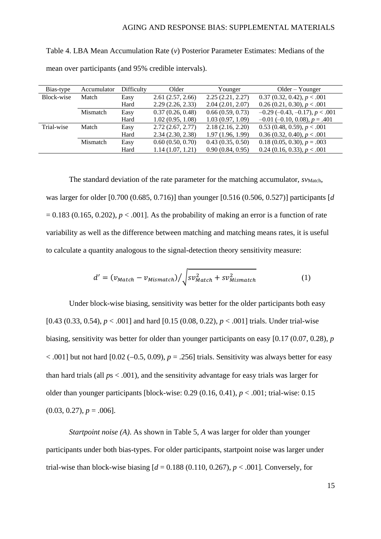<span id="page-14-0"></span>Table 4. LBA Mean Accumulation Rate (*v*) Posterior Parameter Estimates: Medians of the mean over participants (and 95% credible intervals).

| Bias-type  | Accumulator | Difficulty | Older            | Younger          | $Older - Younger$                         |
|------------|-------------|------------|------------------|------------------|-------------------------------------------|
| Block-wise | Match       | Easy       | 2.61(2.57, 2.66) | 2.25(2.21, 2.27) | 0.37(0.32, 0.42), p < .001                |
|            |             | Hard       | 2.29(2.26, 2.33) | 2.04(2.01, 2.07) | 0.26(0.21, 0.30), p < .001                |
|            | Mismatch    | Easy       | 0.37(0.26, 0.48) | 0.66(0.59, 0.73) | $-0.29$ ( $-0.43$ , $-0.17$ ), $p < .001$ |
|            |             | Hard       | 1.02(0.95, 1.08) | 1.03(0.97, 1.09) | $-0.01$ (-0.10, 0.08), $p = .401$         |
| Trial-wise | Match       | Easy       | 2.72(2.67, 2.77) | 2.18(2.16, 2.20) | $0.53$ (0.48, 0.59), $p < .001$           |
|            |             | Hard       | 2.34(2.30, 2.38) | 1.97(1.96, 1.99) | 0.36(0.32, 0.40), p < .001                |
|            | Mismatch    | Easy       | 0.60(0.50, 0.70) | 0.43(0.35, 0.50) | $0.18(0.05, 0.30), p = .003$              |
|            |             | Hard       | 1.14(1.07, 1.21) | 0.90(0.84, 0.95) | $0.24$ (0.16, 0.33), $p < .001$           |

The standard deviation of the rate parameter for the matching accumulator, *syMatch*, was larger for older [0.700 (0.685, 0.716)] than younger [0.516 (0.506, 0.527)] participants [*d*  $= 0.183$  (0.165, 0.202),  $p < .001$ . As the probability of making an error is a function of rate variability as well as the difference between matching and matching means rates, it is useful to calculate a quantity analogous to the signal-detection theory sensitivity measure:

$$
d' = (v_{Match} - v_{Mismatch}) / \sqrt{sv_{Match}^2 + sv_{Mismatch}^2}
$$
 (1)

Under block-wise biasing, sensitivity was better for the older participants both easy [0.43 (0.33, 0.54), *p* < .001] and hard [0.15 (0.08, 0.22), *p* < .001] trials. Under trial-wise biasing, sensitivity was better for older than younger participants on easy [0.17 (0.07, 0.28), *p* < .001] but not hard [0.02 (−0.5, 0.09), *p* = .256] trials. Sensitivity was always better for easy than hard trials (all *p*s < .001), and the sensitivity advantage for easy trials was larger for older than younger participants [block-wise:  $0.29$  ( $0.16$ ,  $0.41$ ),  $p < .001$ ; trial-wise:  $0.15$  $(0.03, 0.27), p = .006$ .

*Startpoint noise (A)*. As shown in [Table 5,](#page-15-0) *A* was larger for older than younger participants under both bias-types. For older participants, startpoint noise was larger under trial-wise than block-wise biasing  $d = 0.188$  (0.110, 0.267),  $p < .001$ . Conversely, for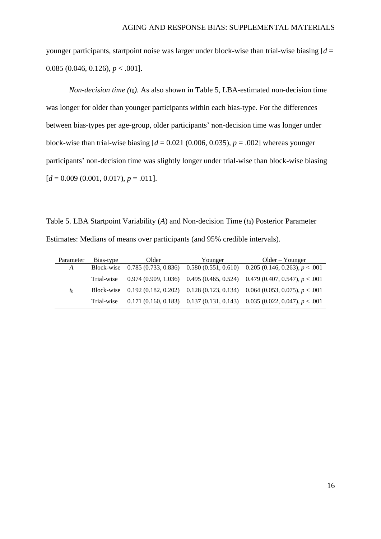younger participants, startpoint noise was larger under block-wise than trial-wise biasing  $d =$ 0.085 (0.046, 0.126), *p* < .001].

*Non-decision time (t*0*).* As also shown in [Table 5,](#page-15-0) LBA-estimated non-decision time was longer for older than younger participants within each bias-type. For the differences between bias-types per age-group, older participants' non-decision time was longer under block-wise than trial-wise biasing  $[d = 0.021 (0.006, 0.035), p = .002]$  whereas younger participants' non-decision time was slightly longer under trial-wise than block-wise biasing  $[d = 0.009 (0.001, 0.017), p = .011].$ 

<span id="page-15-0"></span>Table 5. LBA Startpoint Variability (*A*) and Non-decision Time (*t*0) Posterior Parameter Estimates: Medians of means over participants (and 95% credible intervals).

| Parameter | Bias-type  | Older | Younger | $Older - Younger$                                                                     |
|-----------|------------|-------|---------|---------------------------------------------------------------------------------------|
| A         |            |       |         | Block-wise 0.785 (0.733, 0.836) 0.580 (0.551, 0.610) 0.205 (0.146, 0.263), $p < .001$ |
|           | Trial-wise |       |         | $0.974(0.909, 1.036)$ $0.495(0.465, 0.524)$ $0.479(0.407, 0.547), p < .001$           |
| $t_0$     |            |       |         | Block-wise 0.192 (0.182, 0.202) 0.128 (0.123, 0.134) 0.064 (0.053, 0.075), $p < .001$ |
|           | Trial-wise |       |         | $0.171 (0.160, 0.183)$ $0.137 (0.131, 0.143)$ $0.035 (0.022, 0.047), p < .001$        |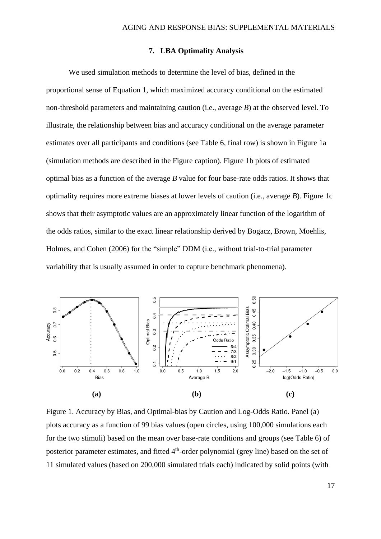## **7. LBA Optimality Analysis**

<span id="page-16-0"></span>We used simulation methods to determine the level of bias, defined in the proportional sense of Equation 1, which maximized accuracy conditional on the estimated non-threshold parameters and maintaining caution (i.e., average *B*) at the observed level. To illustrate, the relationship between bias and accuracy conditional on the average parameter estimates over all participants and conditions (see [Table 6,](#page-17-0) final row) is shown in Figure 1a (simulation methods are described in the Figure caption). Figure 1b plots of estimated optimal bias as a function of the average *B* value for four base-rate odds ratios. It shows that optimality requires more extreme biases at lower levels of caution (i.e., average *B*). Figure 1c shows that their asymptotic values are an approximately linear function of the logarithm of the odds ratios, similar to the exact linear relationship derived by Bogacz, Brown, Moehlis, Holmes, and Cohen (2006) for the "simple" DDM (i.e., without trial-to-trial parameter variability that is usually assumed in order to capture benchmark phenomena).



<span id="page-16-1"></span>Figure 1. Accuracy by Bias, and Optimal-bias by Caution and Log-Odds Ratio. Panel (a) plots accuracy as a function of 99 bias values (open circles, using 100,000 simulations each for the two stimuli) based on the mean over base-rate conditions and groups (see [Table 6\)](#page-17-0) of posterior parameter estimates, and fitted 4<sup>th</sup>-order polynomial (grey line) based on the set of 11 simulated values (based on 200,000 simulated trials each) indicated by solid points (with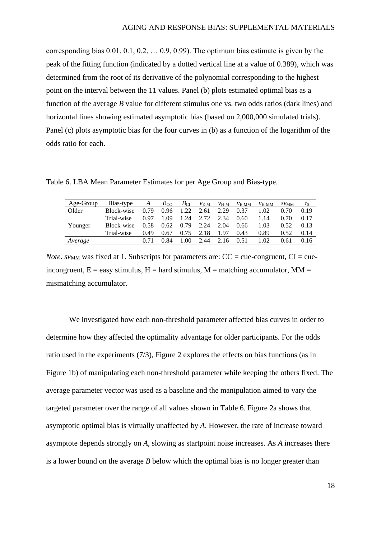corresponding bias 0.01, 0.1, 0.2, … 0.9, 0.99). The optimum bias estimate is given by the peak of the fitting function (indicated by a dotted vertical line at a value of 0.389), which was determined from the root of its derivative of the polynomial corresponding to the highest point on the interval between the 11 values. Panel (b) plots estimated optimal bias as a function of the average *B* value for different stimulus one vs. two odds ratios (dark lines) and horizontal lines showing estimated asymptotic bias (based on 2,000,000 simulated trials). Panel (c) plots asymptotic bias for the four curves in (b) as a function of the logarithm of the odds ratio for each.

<span id="page-17-0"></span>Table 6. LBA Mean Parameter Estimates for per Age Group and Bias-type.

| Age-Group | Bias-type  | A    | $B_{\rm CC}$ | $B_{\rm CI}$ | $v_{\text{E-M}}$ | $v_{H-M}$ | $v_{E-MM}$ | $v_{H-MM}$ | SVMM | $t_0$ |
|-----------|------------|------|--------------|--------------|------------------|-----------|------------|------------|------|-------|
| Older     | Block-wise | 0.79 | 0.96         | 1.22         | 2.61             | 2.29      | 0.37       | 1.02       | 0.70 | 0.19  |
|           | Trial-wise | 0.97 | 1.09         | 1.24         | 2.72             | 2.34      | 0.60       | 1.14       | 0.70 | 0.17  |
| Younger   | Block-wise | 0.58 | 0.62         | 0.79         | 2.24             | 2.04      | 0.66       | 1.03       | 0.52 | 0.13  |
|           | Trial-wise | 0.49 | 0.67         | 0.75         | 2.18             | 1.97      | 0.43       | 0.89       | 0.52 | 0.14  |
| Average   |            |      | 0.84         | 1.00         | 2.44             | 2.16      | 0.51       | 1.02       | 0.61 | 0.16  |

*Note*. *sv*<sub>MM</sub> was fixed at 1. Subscripts for parameters are:  $CC = cue$ -congruent,  $CI = cue$ incongruent,  $E = e$  easy stimulus,  $H =$  hard stimulus,  $M =$  matching accumulator,  $MM =$ mismatching accumulator.

We investigated how each non-threshold parameter affected bias curves in order to determine how they affected the optimality advantage for older participants. For the odds ratio used in the experiments (7/3), [Figure 2](#page-18-1) explores the effects on bias functions (as in [Figure 1b](#page-16-1)) of manipulating each non-threshold parameter while keeping the others fixed. The average parameter vector was used as a baseline and the manipulation aimed to vary the targeted parameter over the range of all values shown in Table 6. [Figure 2a](#page-18-1) shows that asymptotic optimal bias is virtually unaffected by *A*. However, the rate of increase toward asymptote depends strongly on *A*, slowing as startpoint noise increases. As *A* increases there is a lower bound on the average *B* below which the optimal bias is no longer greater than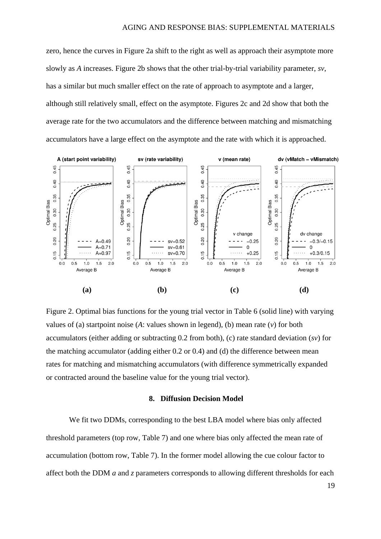zero, hence the curves in [Figure 2a](#page-18-1) shift to the right as well as approach their asymptote more slowly as *A* increases. [Figure 2b](#page-18-1) shows that the other trial-by-trial variability parameter, *sv*, has a similar but much smaller effect on the rate of approach to asymptote and a larger, although still relatively small, effect on the asymptote. Figures 2c and 2d show that both the average rate for the two accumulators and the difference between matching and mismatching accumulators have a large effect on the asymptote and the rate with which it is approached.



<span id="page-18-1"></span>Figure 2. Optimal bias functions for the young trial vector in [Table 6](#page-17-0) (solid line) with varying values of (a) startpoint noise (*A*: values shown in legend), (b) mean rate (*v*) for both accumulators (either adding or subtracting 0.2 from both), (c) rate standard deviation (*sv*) for the matching accumulator (adding either 0.2 or 0.4) and (d) the difference between mean rates for matching and mismatching accumulators (with difference symmetrically expanded or contracted around the baseline value for the young trial vector).

### **8. Diffusion Decision Model**

<span id="page-18-0"></span>We fit two DDMs, corresponding to the best LBA model where bias only affected threshold parameters (top row, [Table 7\)](#page-19-0) and one where bias only affected the mean rate of accumulation (bottom row, [Table 7\)](#page-19-0). In the former model allowing the cue colour factor to affect both the DDM *a* and *z* parameters corresponds to allowing different thresholds for each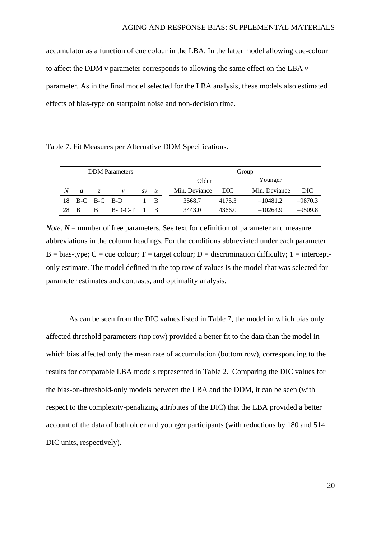accumulator as a function of cue colour in the LBA. In the latter model allowing cue-colour to affect the DDM *v* parameter corresponds to allowing the same effect on the LBA *v* parameter. As in the final model selected for the LBA analysis, these models also estimated effects of bias-type on startpoint noise and non-decision time.

<span id="page-19-0"></span>Table 7. Fit Measures per Alternative DDM Specifications.

| <b>DDM</b> Parameters |                |   |           |                    |             |               | Group  |               |           |  |
|-----------------------|----------------|---|-----------|--------------------|-------------|---------------|--------|---------------|-----------|--|
|                       |                |   |           |                    |             | Older         |        | Younger       |           |  |
| N                     | $\mathfrak{a}$ | Z | ν         | $S\mathcal{V}$     | $t_0$       | Min. Deviance | DIC    | Min. Deviance | DIC       |  |
|                       | 18 B-C B-C B-D |   |           |                    | $1 \quad B$ | 3568.7        | 4175.3 | $-10481.2$    | $-9870.3$ |  |
| 28                    | - R            | B | $B-D-C-T$ | $\blacksquare$ 1 R |             | 3443.0        | 4366.0 | $-10264.9$    | $-9509.8$ |  |

*Note*.  $N =$  number of free parameters. See text for definition of parameter and measure abbreviations in the column headings. For the conditions abbreviated under each parameter:  $B = bias-type$ ;  $C = cue colour$ ;  $T = target colour$ ;  $D = discrimination$  difficulty; 1 = interceptonly estimate. The model defined in the top row of values is the model that was selected for parameter estimates and contrasts, and optimality analysis.

As can be seen from the DIC values listed in [Table 7,](#page-19-0) the model in which bias only affected threshold parameters (top row) provided a better fit to the data than the model in which bias affected only the mean rate of accumulation (bottom row), corresponding to the results for comparable LBA models represented in [Table 2.](#page-12-0) Comparing the DIC values for the bias-on-threshold-only models between the LBA and the DDM, it can be seen (with respect to the complexity-penalizing attributes of the DIC) that the LBA provided a better account of the data of both older and younger participants (with reductions by 180 and 514 DIC units, respectively).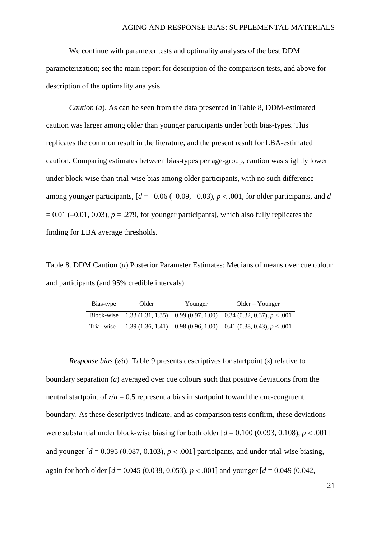We continue with parameter tests and optimality analyses of the best DDM parameterization; see the main report for description of the comparison tests, and above for description of the optimality analysis.

*Caution* (*a*). As can be seen from the data presented in [Table 8,](#page-20-0) DDM-estimated caution was larger among older than younger participants under both bias-types. This replicates the common result in the literature, and the present result for LBA-estimated caution. Comparing estimates between bias-types per age-group, caution was slightly lower under block-wise than trial-wise bias among older participants, with no such difference among younger participants,  $[d = -0.06 (-0.09, -0.03), p < .001$ , for older participants, and *d*  $= 0.01$  (-0.01, 0.03),  $p = 0.279$ , for younger participants], which also fully replicates the finding for LBA average thresholds.

<span id="page-20-0"></span>Table 8. DDM Caution (*a*) Posterior Parameter Estimates: Medians of means over cue colour and participants (and 95% credible intervals).

| Bias-type  | Older | Younger | $Older - Younger$                                                            |
|------------|-------|---------|------------------------------------------------------------------------------|
|            |       |         | Block-wise 1.33 (1.31, 1.35) 0.99 (0.97, 1.00) 0.34 (0.32, 0.37), $p < .001$ |
| Trial-wise |       |         | 1.39 $(1.36, 1.41)$ 0.98 $(0.96, 1.00)$ 0.41 $(0.38, 0.43)$ , $p < .001$     |

*Response bias* (*za*). [Table 9](#page-21-0) presents descriptives for startpoint (*z*) relative to boundary separation (*a*) averaged over cue colours such that positive deviations from the neutral startpoint of  $z/a = 0.5$  represent a bias in startpoint toward the cue-congruent boundary. As these descriptives indicate, and as comparison tests confirm, these deviations were substantial under block-wise biasing for both older  $d = 0.100 (0.093, 0.108)$ ,  $p < .001$ and younger  $d = 0.095 (0.087, 0.103)$ ,  $p < .001$  participants, and under trial-wise biasing, again for both older  $d = 0.045$  (0.038, 0.053),  $p < .0011$  and younger  $d = 0.049$  (0.042,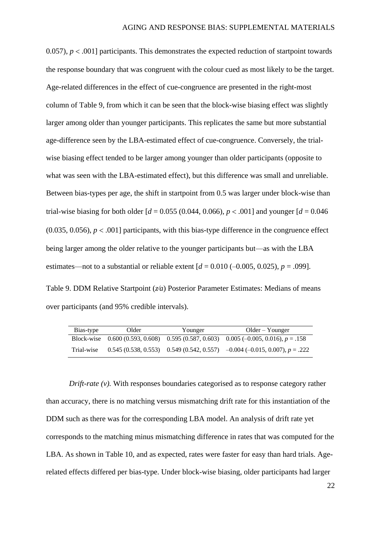0.057),  $p < .001$ ] participants. This demonstrates the expected reduction of startpoint towards the response boundary that was congruent with the colour cued as most likely to be the target. Age-related differences in the effect of cue-congruence are presented in the right-most column of [Table 9,](#page-21-0) from which it can be seen that the block-wise biasing effect was slightly larger among older than younger participants. This replicates the same but more substantial age-difference seen by the LBA-estimated effect of cue-congruence. Conversely, the trialwise biasing effect tended to be larger among younger than older participants (opposite to what was seen with the LBA-estimated effect), but this difference was small and unreliable. Between bias-types per age, the shift in startpoint from 0.5 was larger under block-wise than trial-wise biasing for both older  $d = 0.055$  (0.044, 0.066),  $p < .001$  and younger  $d = 0.046$ (0.035, 0.056),  $p < .001$ ] participants, with this bias-type difference in the congruence effect being larger among the older relative to the younger participants but—as with the LBA estimates—not to a substantial or reliable extent  $d = 0.010 (-0.005, 0.025)$ ,  $p = .099$ ].

<span id="page-21-0"></span>Table 9. DDM Relative Startpoint (*za*) Posterior Parameter Estimates: Medians of means over participants (and 95% credible intervals).

| Bias-type  | Older | Younger | Older – Younger                                                                            |
|------------|-------|---------|--------------------------------------------------------------------------------------------|
|            |       |         | Block-wise $0.600(0.593, 0.608)$ $0.595(0.587, 0.603)$ $0.005(-0.005, 0.016)$ , $p = .158$ |
| Trial-wise |       |         | $0.545(0.538, 0.553)$ $0.549(0.542, 0.557)$ $-0.004(-0.015, 0.007), p = .222$              |

*Drift-rate (v).* With responses boundaries categorised as to response category rather than accuracy, there is no matching versus mismatching drift rate for this instantiation of the DDM such as there was for the corresponding LBA model. An analysis of drift rate yet corresponds to the matching minus mismatching difference in rates that was computed for the LBA. As shown in [Table 10,](#page-22-0) and as expected, rates were faster for easy than hard trials. Agerelated effects differed per bias-type. Under block-wise biasing, older participants had larger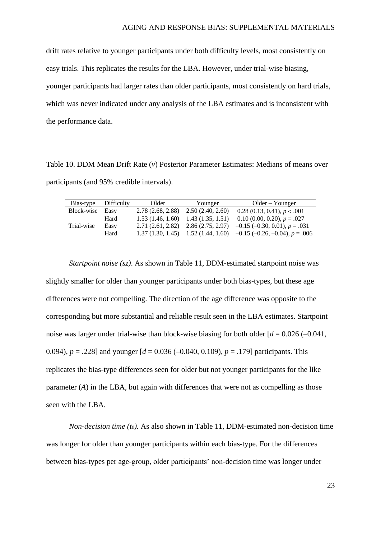drift rates relative to younger participants under both difficulty levels, most consistently on easy trials. This replicates the results for the LBA. However, under trial-wise biasing, younger participants had larger rates than older participants, most consistently on hard trials, which was never indicated under any analysis of the LBA estimates and is inconsistent with the performance data.

<span id="page-22-0"></span>Table 10. DDM Mean Drift Rate (*v*) Posterior Parameter Estimates: Medians of means over participants (and 95% credible intervals).

| Bias-type  | Difficulty | Older            | Younger                               | $Older - Younger$                         |
|------------|------------|------------------|---------------------------------------|-------------------------------------------|
| Block-wise | Easv       | 2.78(2.68, 2.88) | 2.50(2.40, 2.60)                      | 0.28(0.13, 0.41), p < .001                |
|            | Hard       |                  | $1.53(1.46, 1.60)$ $1.43(1.35, 1.51)$ | $0.10$ (0.00, 0.20), $p = .027$           |
| Trial-wise | Easy       | 2.71(2.61, 2.82) | 2.86(2.75, 2.97)                      | $-0.15$ (-0.30, 0.01), $p = .031$         |
|            | Hard       | 1.37(1.30, 1.45) | 1.52(1.44, 1.60)                      | $-0.15$ ( $-0.26$ , $-0.04$ ), $p = .006$ |

*Startpoint noise (sz)*. As shown in [Table 11,](#page-23-0) DDM-estimated startpoint noise was slightly smaller for older than younger participants under both bias-types, but these age differences were not compelling. The direction of the age difference was opposite to the corresponding but more substantial and reliable result seen in the LBA estimates. Startpoint noise was larger under trial-wise than block-wise biasing for both older  $d = 0.026 (-0.041, ...)$ 0.094), *p* = .228] and younger [*d* = 0.036 (–0.040, 0.109), *p* = .179] participants. This replicates the bias-type differences seen for older but not younger participants for the like parameter (*A*) in the LBA, but again with differences that were not as compelling as those seen with the LBA.

*Non-decision time (t*0*).* As also shown in [Table 11,](#page-23-0) DDM-estimated non-decision time was longer for older than younger participants within each bias-type. For the differences between bias-types per age-group, older participants' non-decision time was longer under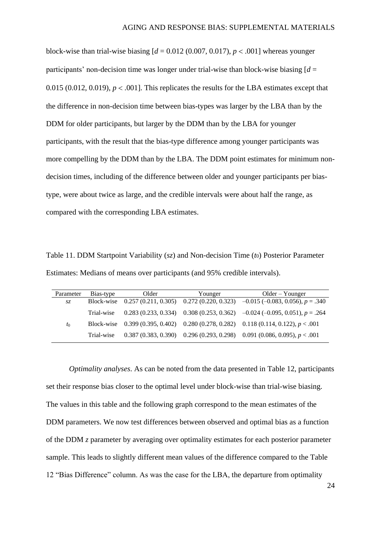block-wise than trial-wise biasing  $d = 0.012$  (0.007, 0.017),  $p < .001$ ] whereas younger participants' non-decision time was longer under trial-wise than block-wise biasing [*d* = 0.015 (0.012, 0.019),  $p < .001$ ]. This replicates the results for the LBA estimates except that the difference in non-decision time between bias-types was larger by the LBA than by the DDM for older participants, but larger by the DDM than by the LBA for younger participants, with the result that the bias-type difference among younger participants was more compelling by the DDM than by the LBA. The DDM point estimates for minimum nondecision times, including of the difference between older and younger participants per biastype, were about twice as large, and the credible intervals were about half the range, as compared with the corresponding LBA estimates.

<span id="page-23-0"></span>Table 11. DDM Startpoint Variability (*sz*) and Non-decision Time (*t*0) Posterior Parameter Estimates: Medians of means over participants (and 95% credible intervals).

| Parameter | Bias-type  | Older | Younger | $Older - Younger$                                                                         |
|-----------|------------|-------|---------|-------------------------------------------------------------------------------------------|
| SZ.       |            |       |         | Block-wise 0.257 (0.211, 0.305) 0.272 (0.220, 0.323) $-0.015$ (-0.083, 0.056), $p = .340$ |
|           | Trial-wise |       |         | $0.283(0.233, 0.334)$ $0.308(0.253, 0.362)$ $-0.024(-0.095, 0.051)$ , $p = .264$          |
| $t_0$     |            |       |         | Block-wise 0.399 (0.395, 0.402) 0.280 (0.278, 0.282) 0.118 (0.114, 0.122), $p < .001$     |
|           | Trial-wise |       |         | $0.387(0.383, 0.390)$ $0.296(0.293, 0.298)$ $0.091(0.086, 0.095)$ , $p < .001$            |

*Optimality analyses*. As can be noted from the data presented in [Table 12,](#page-24-0) participants set their response bias closer to the optimal level under block-wise than trial-wise biasing. The values in this table and the following graph correspond to the mean estimates of the DDM parameters. We now test differences between observed and optimal bias as a function of the DDM *z* parameter by averaging over optimality estimates for each posterior parameter sample. This leads to slightly different mean values of the difference compared to the Table 12 "Bias Difference" column. As was the case for the LBA, the departure from optimality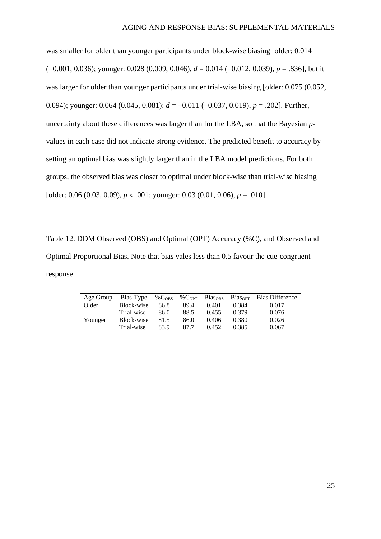was smaller for older than younger participants under block-wise biasing [older: 0.014 (−0.001, 0.036); younger: 0.028 (0.009, 0.046), *d* = 0.014 (−0.012, 0.039), *p* = .836], but it was larger for older than younger participants under trial-wise biasing [older: 0.075 (0.052, 0.094); younger: 0.064 (0.045, 0.081); *d* = −0.011 (−0.037, 0.019), *p* = .202]. Further, uncertainty about these differences was larger than for the LBA, so that the Bayesian *p*values in each case did not indicate strong evidence. The predicted benefit to accuracy by setting an optimal bias was slightly larger than in the LBA model predictions. For both groups, the observed bias was closer to optimal under block-wise than trial-wise biasing [older: 0.06 (0.03, 0.09),  $p < .001$ ; younger: 0.03 (0.01, 0.06),  $p = .010$ ].

<span id="page-24-0"></span>Table 12. DDM Observed (OBS) and Optimal (OPT) Accuracy (%C), and Observed and Optimal Proportional Bias. Note that bias vales less than 0.5 favour the cue-congruent response.

| Age Group | Bias-Type  | %C <sub>OBS</sub> | $%C_{OPT}$ | <b>Biasons</b> | <b>Biasor</b> | <b>Bias Difference</b> |
|-----------|------------|-------------------|------------|----------------|---------------|------------------------|
| Older     | Block-wise | 86.8              | 89.4       | 0.401          | 0.384         | 0.017                  |
|           | Trial-wise | 86.0              | 88.5       | 0.455          | 0.379         | 0.076                  |
| Younger   | Block-wise | 81.5              | 86.0       | 0.406          | 0.380         | 0.026                  |
|           | Trial-wise | 83.9              | 87.7       | 0.452          | 0.385         | 0.067                  |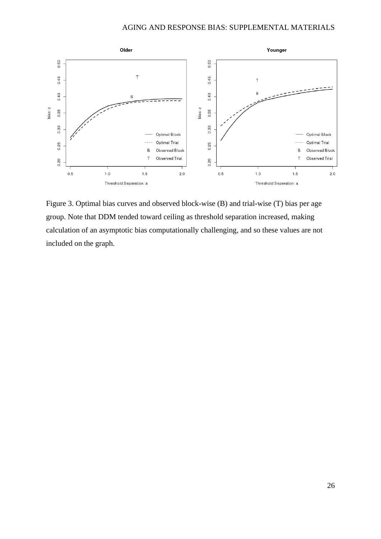

Figure 3. Optimal bias curves and observed block-wise (B) and trial-wise (T) bias per age group. Note that DDM tended toward ceiling as threshold separation increased, making calculation of an asymptotic bias computationally challenging, and so these values are not included on the graph.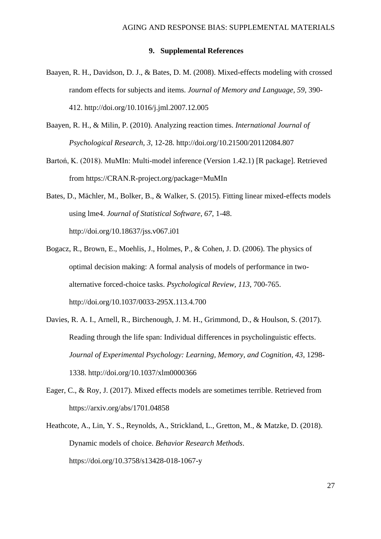## **9. Supplemental References**

- <span id="page-26-0"></span>Baayen, R. H., Davidson, D. J., & Bates, D. M. (2008). Mixed-effects modeling with crossed random effects for subjects and items. *Journal of Memory and Language, 59*, 390- 412. http://doi.org/10.1016/j.jml.2007.12.005
- Baayen, R. H., & Milin, P. (2010). Analyzing reaction times. *International Journal of Psychological Research, 3*, 12-28. http://doi.org/10.21500/20112084.807
- Bartoń, K. (2018). MuMIn: Multi-model inference (Version 1.42.1) [R package]. Retrieved from https://CRAN.R-project.org/package=MuMIn
- Bates, D., Mächler, M., Bolker, B., & Walker, S. (2015). Fitting linear mixed-effects models using lme4. *Journal of Statistical Software, 67*, 1-48. http://doi.org/10.18637/jss.v067.i01
- Bogacz, R., Brown, E., Moehlis, J., Holmes, P., & Cohen, J. D. (2006). The physics of optimal decision making: A formal analysis of models of performance in twoalternative forced-choice tasks. *Psychological Review, 113*, 700-765. http://doi.org/10.1037/0033-295X.113.4.700
- Davies, R. A. I., Arnell, R., Birchenough, J. M. H., Grimmond, D., & Houlson, S. (2017). Reading through the life span: Individual differences in psycholinguistic effects. *Journal of Experimental Psychology: Learning, Memory, and Cognition, 43*, 1298- 1338. http://doi.org/10.1037/xlm0000366
- Eager, C., & Roy, J. (2017). Mixed effects models are sometimes terrible. Retrieved from https://arxiv.org/abs/1701.04858
- Heathcote, A., Lin, Y. S., Reynolds, A., Strickland, L., Gretton, M., & Matzke, D. (2018). Dynamic models of choice. *Behavior Research Methods*. https://doi.org/10.3758/s13428-018-1067-y